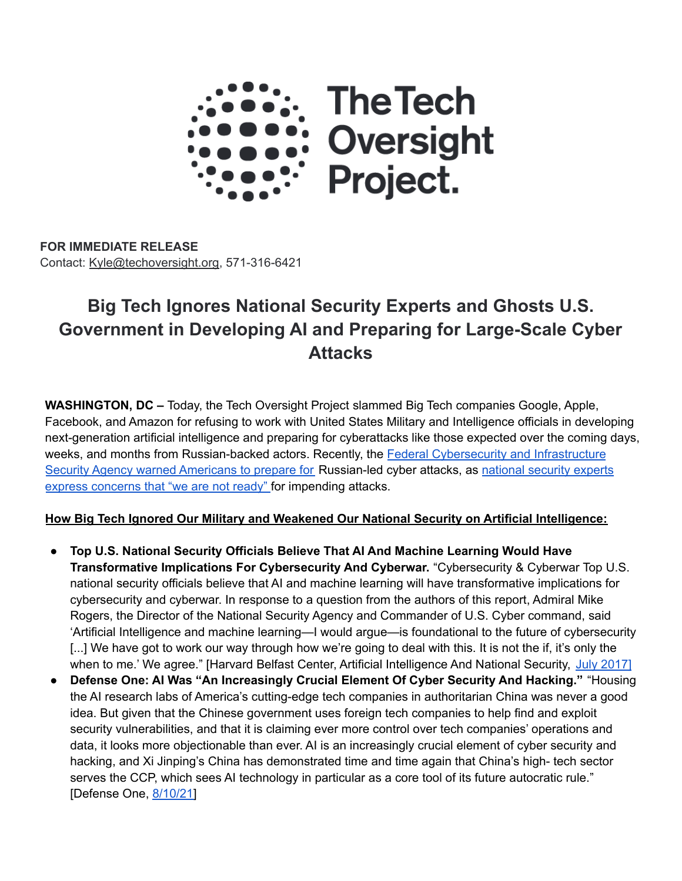

**FOR IMMEDIATE RELEASE** Contact: [Kyle@techoversight.org,](mailto:Kyle@Techoversight.org) 571-316-6421

# **Big Tech Ignores National Security Experts and Ghosts U.S. Government in Developing AI and Preparing for Large-Scale Cyber Attacks**

**WASHINGTON, DC –** Today, the Tech Oversight Project slammed Big Tech companies Google, Apple, Facebook, and Amazon for refusing to work with United States Military and Intelligence officials in developing next-generation artificial intelligence and preparing for cyberattacks like those expected over the coming days, weeks, and months from Russian-backed actors. Recently, the Federal [Cybersecurity](https://www.usatoday.com/story/news/nation/2022/03/08/ukraine-war-could-mean-russian-attacks-us-cyber-networks/9431219002/?gnt-cfr=1) and Infrastructure Security Agency warned [Americans](https://www.usatoday.com/story/news/nation/2022/03/08/ukraine-war-could-mean-russian-attacks-us-cyber-networks/9431219002/?gnt-cfr=1) to prepare for Russian-led cyber attacks, as [national](https://www.theguardian.com/technology/2022/mar/10/us-russia-cyber-attack-prepared) security experts express [concerns](https://www.theguardian.com/technology/2022/mar/10/us-russia-cyber-attack-prepared) that "we are not ready" for impending attacks.

#### **How Big Tech Ignored Our Military and Weakened Our National Security on Artificial Intelligence:**

- **Top U.S. National Security Officials Believe That AI And Machine Learning Would Have Transformative Implications For Cybersecurity And Cyberwar.** "Cybersecurity & Cyberwar Top U.S. national security officials believe that AI and machine learning will have transformative implications for cybersecurity and cyberwar. In response to a question from the authors of this report, Admiral Mike Rogers, the Director of the National Security Agency and Commander of U.S. Cyber command, said 'Artificial Intelligence and machine learning—I would argue—is foundational to the future of cybersecurity [...] We have got to work our way through how we're going to deal with this. It is not the if, it's only the when to me.' We agree." [Harvard Belfast Center, Artificial Intelligence And National Security, July [2017\]](https://www.belfercenter.org/sites/default/files/files/publication/AI%20NatSec%20-%20final.pdf)
- **Defense One: AI Was "An Increasingly Crucial Element Of Cyber Security And Hacking."** "Housing the AI research labs of America's cutting-edge tech companies in authoritarian China was never a good idea. But given that the Chinese government uses foreign tech companies to help find and exploit security vulnerabilities, and that it is claiming ever more control over tech companies' operations and data, it looks more objectionable than ever. AI is an increasingly crucial element of cyber security and hacking, and Xi Jinping's China has demonstrated time and time again that China's high- tech sector serves the CCP, which sees AI technology in particular as a core tool of its future autocratic rule." [Defense One, [8/10/21\]](https://www.defenseone.com/ideas/2021/08/pull-us-ai-research-out-china/184359/)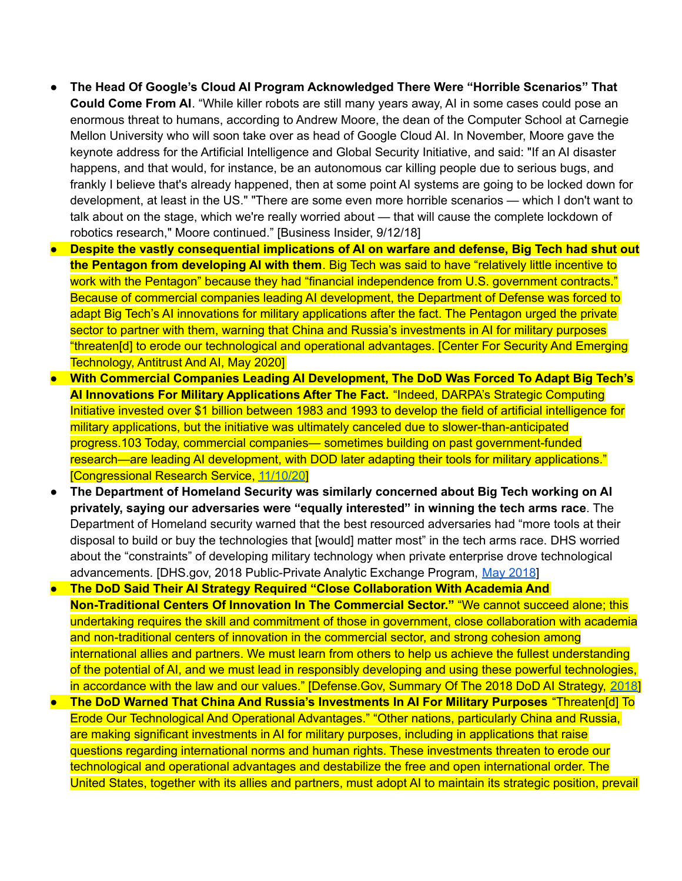- **The Head Of Google's Cloud AI Program Acknowledged There Were "Horrible Scenarios" That Could Come From AI**. "While killer robots are still many years away, AI in some cases could pose an enormous threat to humans, according to Andrew Moore, the dean of the Computer School at Carnegie Mellon University who will soon take over as head of Google Cloud AI. In November, Moore gave the keynote address for the Artificial Intelligence and Global Security Initiative, and said: "If an AI disaster happens, and that would, for instance, be an autonomous car killing people due to serious bugs, and frankly I believe that's already happened, then at some point AI systems are going to be locked down for development, at least in the US." "There are some even more horrible scenarios — which I don't want to talk about on the stage, which we're really worried about — that will cause the complete lockdown of robotics research," Moore continued." [Business Insider, 9/12/18]
- **Despite the vastly consequential implications of AI on warfare and defense, Big Tech had shut out the Pentagon from developing AI with them**. Big Tech was said to have "relatively little incentive to work with the Pentagon" because they had "financial independence from U.S. government contracts." Because of commercial companies leading AI development, the Department of Defense was forced to adapt Big Tech's AI innovations for military applications after the fact. The Pentagon urged the private sector to partner with them, warning that China and Russia's investments in AI for military purposes "threaten[d] to erode our technological and operational advantages. [Center For Security And Emerging Technology, Antitrust And AI, May 2020]
- **With Commercial Companies Leading AI Development, The DoD Was Forced To Adapt Big Tech's AI Innovations For Military Applications After The Fact.** "Indeed, DARPA's Strategic Computing Initiative invested over \$1 billion between 1983 and 1993 to develop the field of artificial intelligence for military applications, but the initiative was ultimately canceled due to slower-than-anticipated progress.103 Today, commercial companies— sometimes building on past government-funded research—are leading AI development, with DOD later adapting their tools for military applications." [Congressional Research Service, [11/10/20](https://sgp.fas.org/crs/natsec/R45178.pdf)]
- **The Department of Homeland Security was similarly concerned about Big Tech working on AI privately, saying our adversaries were "equally interested" in winning the tech arms race**. The Department of Homeland security warned that the best resourced adversaries had "more tools at their disposal to build or buy the technologies that [would] matter most" in the tech arms race. DHS worried about the "constraints" of developing military technology when private enterprise drove technological advancements. [DHS.gov, [2018](https://www.dhs.gov/sites/default/files/publications/2018_AEP_Emerging_Technology_and_National_Security.pdf) Public-Private Analytic Exchange Program, May 2018]
- **The DoD Said Their AI Strategy Required "Close Collaboration With Academia And Non-Traditional Centers Of Innovation In The Commercial Sector."** "We cannot succeed alone; this undertaking requires the skill and commitment of those in government, close collaboration with academia and non-traditional centers of innovation in the commercial sector, and strong cohesion among international allies and partners. We must learn from others to help us achieve the fullest understanding of the potential of AI, and we must lead in responsibly developing and using these powerful technologies, in accordance with the law and our values." [Defense.Gov, Summary Of The 2018 DoD AI Strategy, [2018\]](https://media.defense.gov/2019/Feb/12/2002088963/-1/-1/1/SUMMARY-OF-DOD-AI-STRATEGY.PDF;)
- **The DoD Warned That China And Russia's Investments In AI For Military Purposes** "Threaten[d] To Erode Our Technological And Operational Advantages." "Other nations, particularly China and Russia, are making significant investments in AI for military purposes, including in applications that raise questions regarding international norms and human rights. These investments threaten to erode our technological and operational advantages and destabilize the free and open international order. The United States, together with its allies and partners, must adopt AI to maintain its strategic position, prevail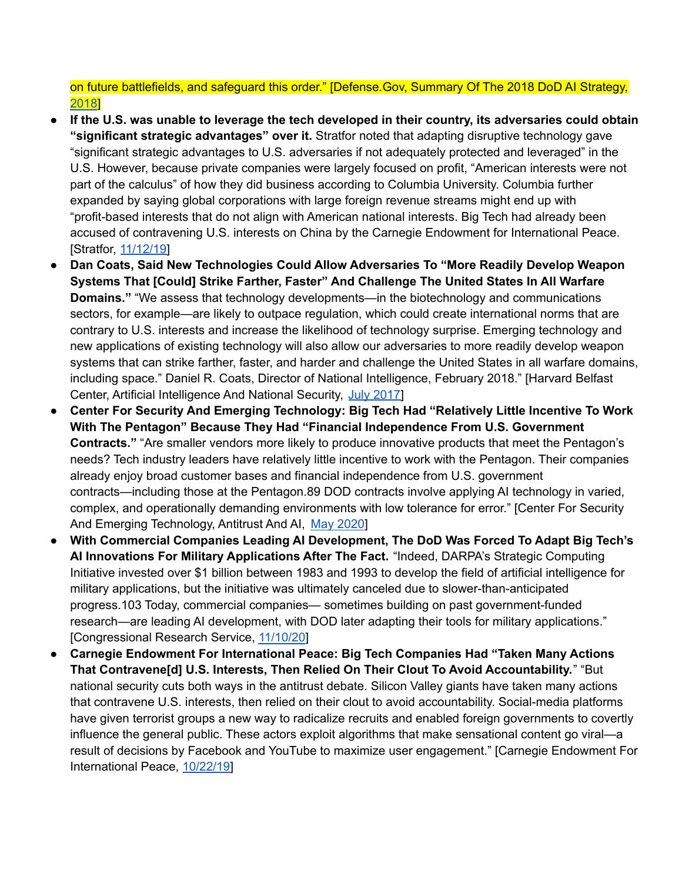on future battlefields, and safeguard this order." [Defense.Gov, Summary Of The 2018 DoD AI Strategy, [2018](https://media.defense.gov/2019/Feb/12/2002088963/-1/-1/1/SUMMARY-OF-DOD-AI-STRATEGY.PDF;)]

- **If the U.S. was unable to leverage the tech developed in their country, its adversaries could obtain "significant strategic advantages" over it.** Stratfor noted that adapting disruptive technology gave "significant strategic advantages to U.S. adversaries if not adequately protected and leveraged" in the U.S. However, because private companies were largely focused on profit, "American interests were not part of the calculus" of how they did business according to Columbia University. Columbia further expanded by saying global corporations with large foreign revenue streams might end up with "profit-based interests that do not align with American national interests. Big Tech had already been accused of contravening U.S. interests on China by the Carnegie Endowment for International Peace. [Stratfor, [11/12/19\]](https://worldview.stratfor.com/article/google-ai-work-china-stirs-questions-allegiance-national-security-military-technology-peter-thiel)
- **Dan Coats, Said New Technologies Could Allow Adversaries To "More Readily Develop Weapon Systems That [Could] Strike Farther, Faster" And Challenge The United States In All Warfare Domains."** "We assess that technology developments—in the biotechnology and communications sectors, for example—are likely to outpace regulation, which could create international norms that are contrary to U.S. interests and increase the likelihood of technology surprise. Emerging technology and new applications of existing technology will also allow our adversaries to more readily develop weapon systems that can strike farther, faster, and harder and challenge the United States in all warfare domains, including space." Daniel R. Coats, Director of National Intelligence, February 2018." [Harvard Belfast Center, Artificial Intelligence And National Security, July [2017\]](https://www.belfercenter.org/sites/default/files/files/publication/AI%20NatSec%20-%20final.pdf)
- **Center For Security And Emerging Technology: Big Tech Had "Relatively Little Incentive To Work With The Pentagon" Because They Had "Financial Independence From U.S. Government Contracts."** "Are smaller vendors more likely to produce innovative products that meet the Pentagon's needs? Tech industry leaders have relatively little incentive to work with the Pentagon. Their companies already enjoy broad customer bases and financial independence from U.S. government contracts—including those at the Pentagon.89 DOD contracts involve applying AI technology in varied, complex, and operationally demanding environments with low tolerance for error." [Center For Security And Emerging Technology, Antitrust And AI, May [2020](https://cset.georgetown.edu/wp-content/uploads/CSET-Antitrust-and-Artificial-Intelligence.pdf)]
- **With Commercial Companies Leading AI Development, The DoD Was Forced To Adapt Big Tech's AI Innovations For Military Applications After The Fact.** "Indeed, DARPA's Strategic Computing Initiative invested over \$1 billion between 1983 and 1993 to develop the field of artificial intelligence for military applications, but the initiative was ultimately canceled due to slower-than-anticipated progress.103 Today, commercial companies— sometimes building on past government-funded research—are leading AI development, with DOD later adapting their tools for military applications." [Congressional Research Service, [11/10/20](https://sgp.fas.org/crs/natsec/R45178.pdf)]
- **Carnegie Endowment For International Peace: Big Tech Companies Had "Taken Many Actions That Contravene[d] U.S. Interests, Then Relied On Their Clout To Avoid Accountability.**" "But national security cuts both ways in the antitrust debate. Silicon Valley giants have taken many actions that contravene U.S. interests, then relied on their clout to avoid accountability. Social-media platforms have given terrorist groups a new way to radicalize recruits and enabled foreign governments to covertly influence the general public. These actors exploit algorithms that make sensational content go viral—a result of decisions by Facebook and YouTube to maximize user engagement." [Carnegie Endowment For International Peace, [10/22/19\]](https://carnegieendowment.org/2019/10/22/antitrust-threat-to-national-security-pub-80404)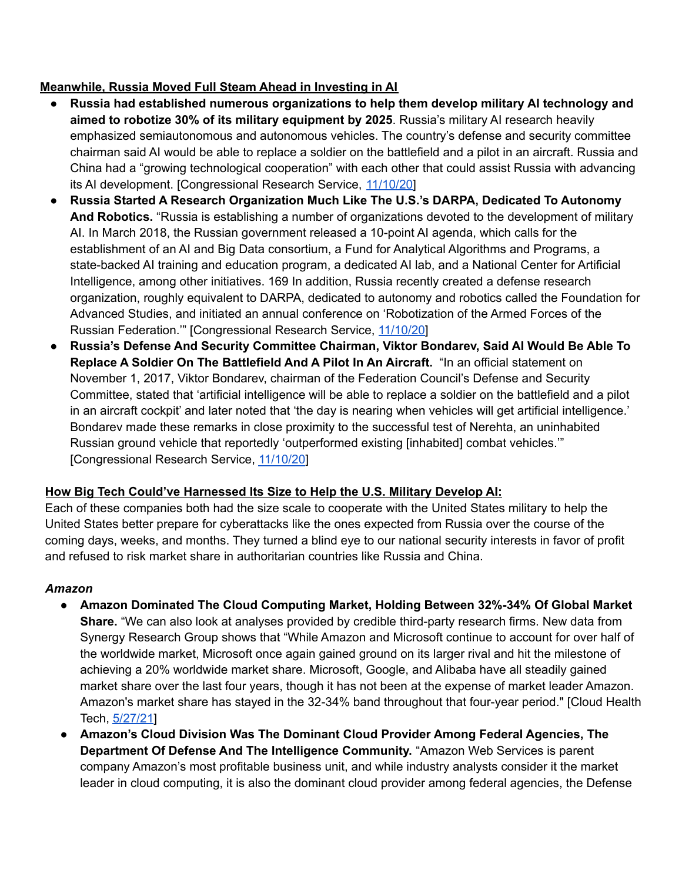#### **Meanwhile, Russia Moved Full Steam Ahead in Investing in AI**

- **Russia had established numerous organizations to help them develop military AI technology and aimed to robotize 30% of its military equipment by 2025**. Russia's military AI research heavily emphasized semiautonomous and autonomous vehicles. The country's defense and security committee chairman said AI would be able to replace a soldier on the battlefield and a pilot in an aircraft. Russia and China had a "growing technological cooperation" with each other that could assist Russia with advancing its AI development. [Congressional Research Service, [11/10/20\]](https://sgp.fas.org/crs/natsec/R45178.pdf)
- **Russia Started A Research Organization Much Like The U.S.'s DARPA, Dedicated To Autonomy And Robotics.** "Russia is establishing a number of organizations devoted to the development of military AI. In March 2018, the Russian government released a 10-point AI agenda, which calls for the establishment of an AI and Big Data consortium, a Fund for Analytical Algorithms and Programs, a state-backed AI training and education program, a dedicated AI lab, and a National Center for Artificial Intelligence, among other initiatives. 169 In addition, Russia recently created a defense research organization, roughly equivalent to DARPA, dedicated to autonomy and robotics called the Foundation for Advanced Studies, and initiated an annual conference on 'Robotization of the Armed Forces of the Russian Federation.'" [Congressional Research Service, [11/10/20\]](https://sgp.fas.org/crs/natsec/R45178.pdf)
- **Russia's Defense And Security Committee Chairman, Viktor Bondarev, Said AI Would Be Able To Replace A Soldier On The Battlefield And A Pilot In An Aircraft.** "In an official statement on November 1, 2017, Viktor Bondarev, chairman of the Federation Council's Defense and Security Committee, stated that 'artificial intelligence will be able to replace a soldier on the battlefield and a pilot in an aircraft cockpit' and later noted that 'the day is nearing when vehicles will get artificial intelligence.' Bondarev made these remarks in close proximity to the successful test of Nerehta, an uninhabited Russian ground vehicle that reportedly 'outperformed existing [inhabited] combat vehicles.'" [Congressional Research Service, [11/10/20](https://sgp.fas.org/crs/natsec/R45178.pdf)]

## **How Big Tech Could've Harnessed Its Size to Help the U.S. Military Develop AI:**

Each of these companies both had the size scale to cooperate with the United States military to help the United States better prepare for cyberattacks like the ones expected from Russia over the course of the coming days, weeks, and months. They turned a blind eye to our national security interests in favor of profit and refused to risk market share in authoritarian countries like Russia and China.

#### *Amazon*

- **Amazon Dominated The Cloud Computing Market, Holding Between 32%-34% Of Global Market Share.** "We can also look at analyses provided by credible third-party research firms. New data from Synergy Research Group shows that "While Amazon and Microsoft continue to account for over half of the worldwide market, Microsoft once again gained ground on its larger rival and hit the milestone of achieving a 20% worldwide market share. Microsoft, Google, and Alibaba have all steadily gained market share over the last four years, though it has not been at the expense of market leader Amazon. Amazon's market share has stayed in the 32-34% band throughout that four-year period." [Cloud Health Tech, [5/27/21](https://www.cloudhealthtech.com/blog/azure-vs-aws-comparison-azure-really-catching)]
- **Amazon's Cloud Division Was The Dominant Cloud Provider Among Federal Agencies, The Department Of Defense And The Intelligence Community.** "Amazon Web Services is parent company Amazon's most profitable business unit, and while industry analysts consider it the market leader in cloud computing, it is also the dominant cloud provider among federal agencies, the Defense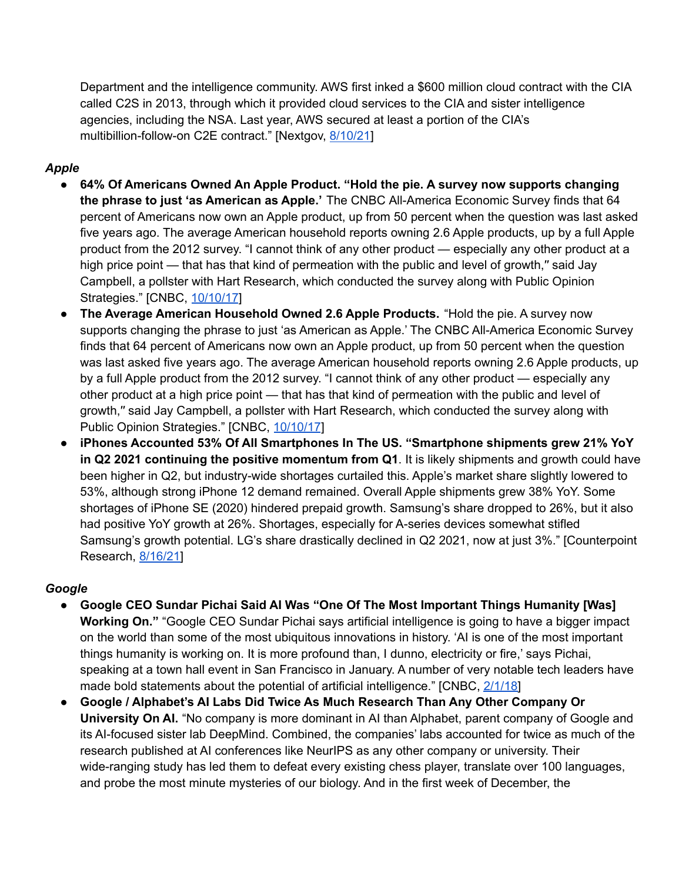Department and the intelligence community. AWS first inked a \$600 million cloud contract with the CIA called C2S in 2013, through which it provided cloud services to the CIA and sister intelligence agencies, including the NSA. Last year, AWS secured at least a portion of the CIA's multibillion-follow-on C2E contract." [Nextgov, [8/10/21\]](https://www.nextgov.com/it-modernization/2021/08/nsa-awards-secret-10-billion-contract-amazon/184390/)

### *Apple*

- **64% Of Americans Owned An Apple Product. "Hold the pie. A survey now supports changing the phrase to just 'as American as Apple.'** The CNBC All-America Economic Survey finds that 64 percent of Americans now own an Apple product, up from 50 percent when the question was last asked five years ago. The average American household reports owning 2.6 Apple products, up by a full Apple product from the 2012 survey. "I cannot think of any other product — especially any other product at a high price point — that has that kind of permeation with the public and level of growth," said Jay Campbell, a pollster with Hart Research, which conducted the survey along with Public Opinion Strategies." [CNBC, [10/10/17](https://www.cnbc.com/2017/10/09/the-average-american-household-owns-more-than-two-apple-products.html)]
- **The Average American Household Owned 2.6 Apple Products.** "Hold the pie. A survey now supports changing the phrase to just 'as American as Apple.' The CNBC All-America Economic Survey finds that 64 percent of Americans now own an Apple product, up from 50 percent when the question was last asked five years ago. The average American household reports owning 2.6 Apple products, up by a full Apple product from the 2012 survey. "I cannot think of any other product — especially any other product at a high price point — that has that kind of permeation with the public and level of growth,′′ said Jay Campbell, a pollster with Hart Research, which conducted the survey along with Public Opinion Strategies." [CNBC, [10/10/17](https://www.cnbc.com/2017/10/09/the-average-american-household-owns-more-than-two-apple-products.html)]
- **iPhones Accounted 53% Of All Smartphones In The US. "Smartphone shipments grew 21% YoY in Q2 2021 continuing the positive momentum from Q1**. It is likely shipments and growth could have been higher in Q2, but industry-wide shortages curtailed this. Apple's market share slightly lowered to 53%, although strong iPhone 12 demand remained. Overall Apple shipments grew 38% YoY. Some shortages of iPhone SE (2020) hindered prepaid growth. Samsung's share dropped to 26%, but it also had positive YoY growth at 26%. Shortages, especially for A-series devices somewhat stifled Samsung's growth potential. LG's share drastically declined in Q2 2021, now at just 3%." [Counterpoint Research, [8/16/21\]](https://www.counterpointresearch.com/us-market-smartphone-share/)

#### *Google*

- **Google CEO Sundar Pichai Said AI Was "One Of The Most Important Things Humanity [Was] Working On."** "Google CEO Sundar Pichai says artificial intelligence is going to have a bigger impact on the world than some of the most ubiquitous innovations in history. 'AI is one of the most important things humanity is working on. It is more profound than, I dunno, electricity or fire,' says Pichai, speaking at a town hall event in San Francisco in January. A number of very notable tech leaders have made bold statements about the potential of artificial intelligence." [CNBC, [2/1/18\]](https://www.cnbc.com/2018/02/01/google-ceo-sundar-pichai-ai-is-more-important-than-fire-electricity.html)
- **Google / Alphabet's AI Labs Did Twice As Much Research Than Any Other Company Or University On AI.** "No company is more dominant in AI than Alphabet, parent company of Google and its AI-focused sister lab DeepMind. Combined, the companies' labs accounted for twice as much of the research published at AI conferences like NeurIPS as any other company or university. Their wide-ranging study has led them to defeat every existing chess player, translate over 100 languages, and probe the most minute mysteries of our biology. And in the first week of December, the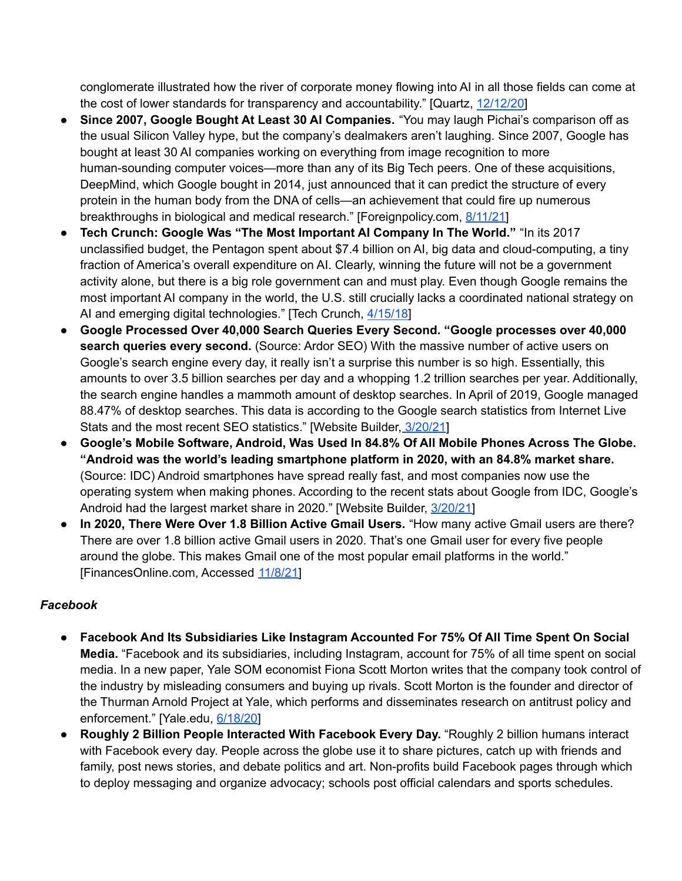conglomerate illustrated how the river of corporate money flowing into AI in all those fields can come at the cost of lower standards for transparency and accountability." [Quartz, [12/12/20\]](https://qz.com/1945293/the-dangers-of-letting-google-lead-ai-research/)

- **Since 2007, Google Bought At Least 30 AI Companies.** "You may laugh Pichai's comparison off as the usual Silicon Valley hype, but the company's dealmakers aren't laughing. Since 2007, Google has bought at least 30 AI companies working on everything from image recognition to more human-sounding computer voices—more than any of its Big Tech peers. One of these acquisitions, DeepMind, which Google bought in 2014, just announced that it can predict the structure of every protein in the human body from the DNA of cells—an achievement that could fire up numerous breakthroughs in biological and medical research." [Foreignpolicy.com, [8/11/21](https://foreignpolicy.com/2021/08/11/artificial-intelligence-big-tech-regulation-monopoly-antitrust-google-apple-amazon-facebook/)]
- **Tech Crunch: Google Was "The Most Important AI Company In The World."** "In its 2017 unclassified budget, the Pentagon spent about \$7.4 billion on AI, big data and cloud-computing, a tiny fraction of America's overall expenditure on AI. Clearly, winning the future will not be a government activity alone, but there is a big role government can and must play. Even though Google remains the most important AI company in the world, the U.S. still crucially lacks a coordinated national strategy on AI and emerging digital technologies." [Tech Crunch, [4/15/18\]](https://techcrunch.com/2018/04/15/is-americas-national-security-facebook-and-googles-problem/)
- **Google Processed Over 40,000 Search Queries Every Second. "Google processes over 40,000 search queries every second.** (Source: Ardor SEO) With the massive number of active users on Google's search engine every day, it really isn't a surprise this number is so high. Essentially, this amounts to over 3.5 billion searches per day and a whopping 1.2 trillion searches per year. Additionally, the search engine handles a mammoth amount of desktop searches. In April of 2019, Google managed 88.47% of desktop searches. This data is according to the Google search statistics from Internet Live Stats and the most recent SEO statistics." [Website Builder, [3/20/21](https://websitebuilder.org/blog/google-stats/https://websitebuilder.org/blog/google-stats/)]
- **Google's Mobile Software, Android, Was Used In 84.8% Of All Mobile Phones Across The Globe. "Android was the world's leading smartphone platform in 2020, with an 84.8% market share.** (Source: IDC) Android smartphones have spread really fast, and most companies now use the operating system when making phones. According to the recent stats about Google from IDC, Google's Android had the largest market share in 2020." [Website Builder, [3/20/21\]](https://websitebuilder.org/blog/google-stats/)
- **In 2020, There Were Over 1.8 Billion Active Gmail Users.** "How many active Gmail users are there? There are over 1.8 billion active Gmail users in 2020. That's one Gmail user for every five people around the globe. This makes Gmail one of the most popular email platforms in the world." [FinancesOnline.com, Accessed [11/8/21\]](https://financesonline.com/number-of-active-gmail-users/)

## *Facebook*

- **Facebook And Its Subsidiaries Like Instagram Accounted For 75% Of All Time Spent On Social Media.** "Facebook and its subsidiaries, including Instagram, account for 75% of all time spent on social media. In a new paper, Yale SOM economist Fiona Scott Morton writes that the company took control of the industry by misleading consumers and buying up rivals. Scott Morton is the founder and director of the Thurman Arnold Project at Yale, which performs and disseminates research on antitrust policy and enforcement." [Yale.edu, [6/18/20](https://insights.som.yale.edu/insights/facebook-s-dominance-is-built-on-anti-competitive-behavior)]
- **Roughly 2 Billion People Interacted With Facebook Every Day.** "Roughly 2 billion humans interact with Facebook every day. People across the globe use it to share pictures, catch up with friends and family, post news stories, and debate politics and art. Non-profits build Facebook pages through which to deploy messaging and organize advocacy; schools post official calendars and sports schedules.